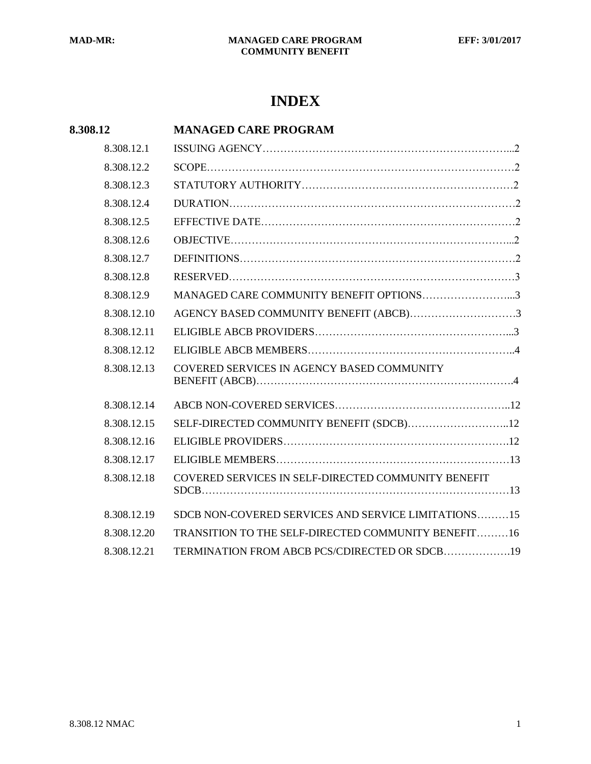# **INDEX**

| 8.308.12    | <b>MANAGED CARE PROGRAM</b>                         |
|-------------|-----------------------------------------------------|
| 8.308.12.1  |                                                     |
| 8.308.12.2  |                                                     |
| 8.308.12.3  |                                                     |
| 8.308.12.4  |                                                     |
| 8.308.12.5  |                                                     |
| 8.308.12.6  |                                                     |
| 8.308.12.7  |                                                     |
| 8.308.12.8  |                                                     |
| 8.308.12.9  | MANAGED CARE COMMUNITY BENEFIT OPTIONS3             |
| 8.308.12.10 | AGENCY BASED COMMUNITY BENEFIT (ABCB)3              |
| 8.308.12.11 |                                                     |
| 8.308.12.12 |                                                     |
| 8.308.12.13 | COVERED SERVICES IN AGENCY BASED COMMUNITY          |
| 8.308.12.14 |                                                     |
| 8.308.12.15 | SELF-DIRECTED COMMUNITY BENEFIT (SDCB)12            |
| 8.308.12.16 |                                                     |
| 8.308.12.17 |                                                     |
| 8.308.12.18 | COVERED SERVICES IN SELF-DIRECTED COMMUNITY BENEFIT |
| 8.308.12.19 | SDCB NON-COVERED SERVICES AND SERVICE LIMITATIONS15 |
| 8.308.12.20 | TRANSITION TO THE SELF-DIRECTED COMMUNITY BENEFIT16 |
| 8.308.12.21 | TERMINATION FROM ABCB PCS/CDIRECTED OR SDCB19       |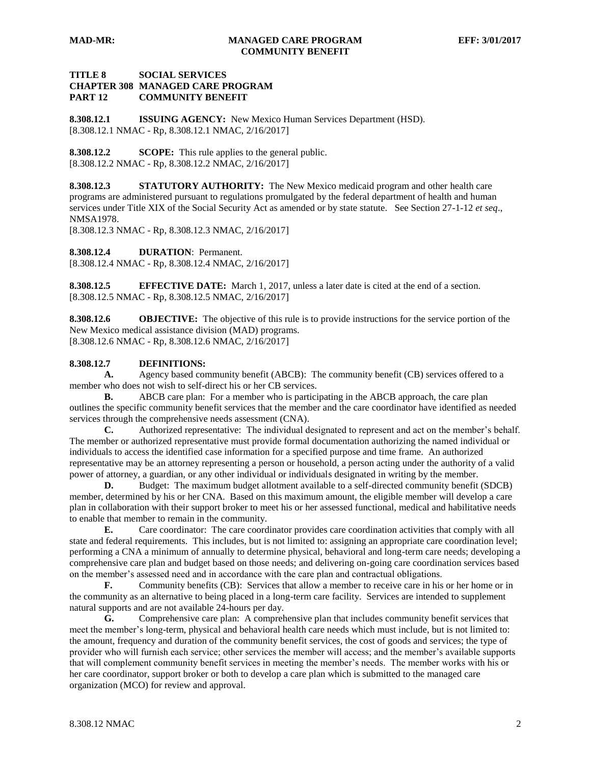# **TITLE 8 SOCIAL SERVICES CHAPTER 308 MANAGED CARE PROGRAM PART 12 COMMUNITY BENEFIT**

<span id="page-1-0"></span>**8.308.12.1 ISSUING AGENCY:** New Mexico Human Services Department (HSD). [8.308.12.1 NMAC - Rp, 8.308.12.1 NMAC, 2/16/2017]

<span id="page-1-1"></span>**8.308.12.2 SCOPE:** This rule applies to the general public. [8.308.12.2 NMAC - Rp, 8.308.12.2 NMAC, 2/16/2017]

<span id="page-1-2"></span>**8.308.12.3 STATUTORY AUTHORITY:** The New Mexico medicaid program and other health care programs are administered pursuant to regulations promulgated by the federal department of health and human services under Title XIX of the Social Security Act as amended or by state statute. See Section 27-1-12 *et seq*., NMSA1978.

[8.308.12.3 NMAC - Rp, 8.308.12.3 NMAC, 2/16/2017]

<span id="page-1-3"></span>**8.308.12.4 DURATION**: Permanent.

[8.308.12.4 NMAC - Rp, 8.308.12.4 NMAC, 2/16/2017]

<span id="page-1-4"></span>**8.308.12.5 EFFECTIVE DATE:** March 1, 2017, unless a later date is cited at the end of a section. [8.308.12.5 NMAC - Rp, 8.308.12.5 NMAC, 2/16/2017]

<span id="page-1-5"></span>**8.308.12.6 OBJECTIVE:** The objective of this rule is to provide instructions for the service portion of the New Mexico medical assistance division (MAD) programs. [8.308.12.6 NMAC - Rp, 8.308.12.6 NMAC, 2/16/2017]

# <span id="page-1-6"></span>**8.308.12.7 DEFINITIONS:**

**A.** Agency based community benefit (ABCB): The community benefit (CB) services offered to a member who does not wish to self-direct his or her CB services.

**B.** ABCB care plan: For a member who is participating in the ABCB approach, the care plan outlines the specific community benefit services that the member and the care coordinator have identified as needed services through the comprehensive needs assessment (CNA).

**C.** Authorized representative: The individual designated to represent and act on the member's behalf. The member or authorized representative must provide formal documentation authorizing the named individual or individuals to access the identified case information for a specified purpose and time frame. An authorized representative may be an attorney representing a person or household, a person acting under the authority of a valid power of attorney, a guardian, or any other individual or individuals designated in writing by the member.

**D.** Budget: The maximum budget allotment available to a self-directed community benefit (SDCB) member, determined by his or her CNA. Based on this maximum amount, the eligible member will develop a care plan in collaboration with their support broker to meet his or her assessed functional, medical and habilitative needs to enable that member to remain in the community.

**E.** Care coordinator: The care coordinator provides care coordination activities that comply with all state and federal requirements. This includes, but is not limited to: assigning an appropriate care coordination level; performing a CNA a minimum of annually to determine physical, behavioral and long-term care needs; developing a comprehensive care plan and budget based on those needs; and delivering on-going care coordination services based on the member's assessed need and in accordance with the care plan and contractual obligations.

**F.** Community benefits (CB): Services that allow a member to receive care in his or her home or in the community as an alternative to being placed in a long-term care facility. Services are intended to supplement natural supports and are not available 24-hours per day.

**G.** Comprehensive care plan: A comprehensive plan that includes community benefit services that meet the member's long-term, physical and behavioral health care needs which must include, but is not limited to: the amount, frequency and duration of the community benefit services, the cost of goods and services; the type of provider who will furnish each service; other services the member will access; and the member's available supports that will complement community benefit services in meeting the member's needs. The member works with his or her care coordinator, support broker or both to develop a care plan which is submitted to the managed care organization (MCO) for review and approval.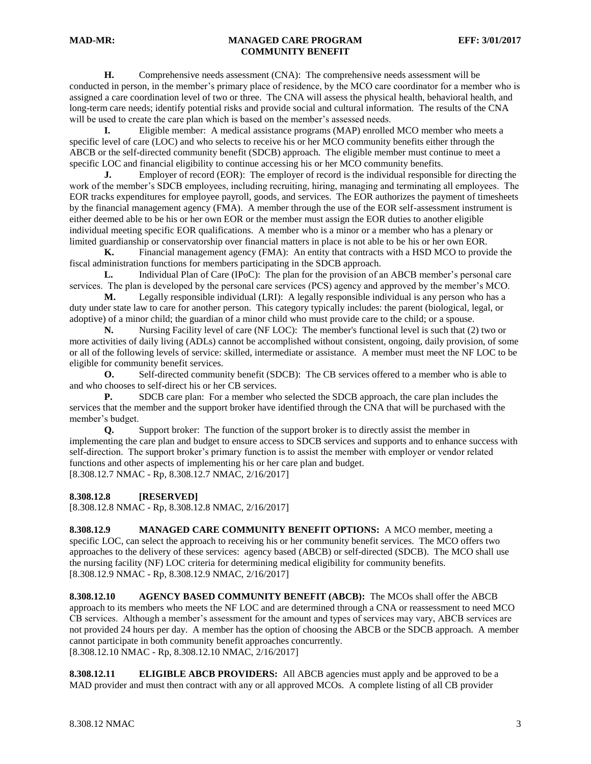**H.** Comprehensive needs assessment (CNA): The comprehensive needs assessment will be conducted in person, in the member's primary place of residence, by the MCO care coordinator for a member who is assigned a care coordination level of two or three. The CNA will assess the physical health, behavioral health, and long-term care needs; identify potential risks and provide social and cultural information. The results of the CNA will be used to create the care plan which is based on the member's assessed needs.

**I.** Eligible member: A medical assistance programs (MAP) enrolled MCO member who meets a specific level of care (LOC) and who selects to receive his or her MCO community benefits either through the ABCB or the self-directed community benefit (SDCB) approach. The eligible member must continue to meet a specific LOC and financial eligibility to continue accessing his or her MCO community benefits.<br> **J.** Employer of record (EOR): The employer of record is the individual responsible

Employer of record (EOR): The employer of record is the individual responsible for directing the work of the member's SDCB employees, including recruiting, hiring, managing and terminating all employees. The EOR tracks expenditures for employee payroll, goods, and services. The EOR authorizes the payment of timesheets by the financial management agency (FMA). A member through the use of the EOR self-assessment instrument is either deemed able to be his or her own EOR or the member must assign the EOR duties to another eligible individual meeting specific EOR qualifications. A member who is a minor or a member who has a plenary or limited guardianship or conservatorship over financial matters in place is not able to be his or her own EOR.

**K.** Financial management agency (FMA): An entity that contracts with a HSD MCO to provide the fiscal administration functions for members participating in the SDCB approach.

**L.** Individual Plan of Care (IPoC): The plan for the provision of an ABCB member's personal care services. The plan is developed by the personal care services (PCS) agency and approved by the member's MCO.

**M.** Legally responsible individual (LRI): A legally responsible individual is any person who has a duty under state law to care for another person. This category typically includes: the parent (biological, legal, or adoptive) of a minor child; the guardian of a minor child who must provide care to the child; or a spouse.

**N.** Nursing Facility level of care (NF LOC): The member's functional level is such that (2) two or more activities of daily living (ADLs) cannot be accomplished without consistent, ongoing, daily provision, of some or all of the following levels of service: skilled, intermediate or assistance. A member must meet the NF LOC to be eligible for community benefit services.

**O.** Self-directed community benefit (SDCB): The CB services offered to a member who is able to and who chooses to self-direct his or her CB services.

**P.** SDCB care plan: For a member who selected the SDCB approach, the care plan includes the services that the member and the support broker have identified through the CNA that will be purchased with the member's budget.

**Q.** Support broker: The function of the support broker is to directly assist the member in implementing the care plan and budget to ensure access to SDCB services and supports and to enhance success with self-direction. The support broker's primary function is to assist the member with employer or vendor related functions and other aspects of implementing his or her care plan and budget. [8.308.12.7 NMAC - Rp, 8.308.12.7 NMAC, 2/16/2017]

<span id="page-2-0"></span>**8.308.12.8 [RESERVED]**

[8.308.12.8 NMAC - Rp, 8.308.12.8 NMAC, 2/16/2017]

<span id="page-2-1"></span>**8.308.12.9 MANAGED CARE COMMUNITY BENEFIT OPTIONS:** A MCO member, meeting a specific LOC, can select the approach to receiving his or her community benefit services. The MCO offers two approaches to the delivery of these services: agency based (ABCB) or self-directed (SDCB). The MCO shall use the nursing facility (NF) LOC criteria for determining medical eligibility for community benefits. [8.308.12.9 NMAC - Rp, 8.308.12.9 NMAC, 2/16/2017]

<span id="page-2-2"></span>**8.308.12.10 AGENCY BASED COMMUNITY BENEFIT (ABCB):** The MCOs shall offer the ABCB approach to its members who meets the NF LOC and are determined through a CNA or reassessment to need MCO CB services. Although a member's assessment for the amount and types of services may vary, ABCB services are not provided 24 hours per day. A member has the option of choosing the ABCB or the SDCB approach. A member cannot participate in both community benefit approaches concurrently. [8.308.12.10 NMAC - Rp, 8.308.12.10 NMAC, 2/16/2017]

<span id="page-2-3"></span>**8.308.12.11 ELIGIBLE ABCB PROVIDERS:** All ABCB agencies must apply and be approved to be a MAD provider and must then contract with any or all approved MCOs. A complete listing of all CB provider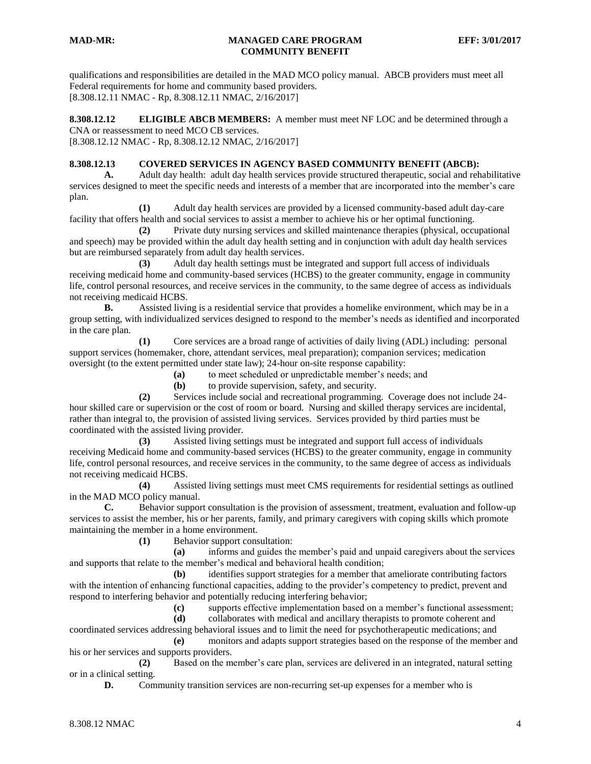qualifications and responsibilities are detailed in the MAD MCO policy manual. ABCB providers must meet all Federal requirements for home and community based providers. [8.308.12.11 NMAC - Rp, 8.308.12.11 NMAC, 2/16/2017]

<span id="page-3-0"></span>**8.308.12.12 ELIGIBLE ABCB MEMBERS:** A member must meet NF LOC and be determined through a CNA or reassessment to need MCO CB services.

[8.308.12.12 NMAC - Rp, 8.308.12.12 NMAC, 2/16/2017]

# <span id="page-3-1"></span>**8.308.12.13 COVERED SERVICES IN AGENCY BASED COMMUNITY BENEFIT (ABCB):**

**A.** Adult day health: adult day health services provide structured therapeutic, social and rehabilitative services designed to meet the specific needs and interests of a member that are incorporated into the member's care plan.

**(1)** Adult day health services are provided by a licensed community-based adult day-care facility that offers health and social services to assist a member to achieve his or her optimal functioning.

**(2)** Private duty nursing services and skilled maintenance therapies (physical, occupational and speech) may be provided within the adult day health setting and in conjunction with adult day health services but are reimbursed separately from adult day health services.

**(3)** Adult day health settings must be integrated and support full access of individuals receiving medicaid home and community-based services (HCBS) to the greater community, engage in community life, control personal resources, and receive services in the community, to the same degree of access as individuals not receiving medicaid HCBS.

**B.** Assisted living is a residential service that provides a homelike environment, which may be in a group setting, with individualized services designed to respond to the member's needs as identified and incorporated in the care plan.

**(1)** Core services are a broad range of activities of daily living (ADL) including: personal support services (homemaker, chore, attendant services, meal preparation); companion services; medication oversight (to the extent permitted under state law); 24-hour on-site response capability:

**(a)** to meet scheduled or unpredictable member's needs; and

**(b)** to provide supervision, safety, and security.

**(2)** Services include social and recreational programming. Coverage does not include 24 hour skilled care or supervision or the cost of room or board. Nursing and skilled therapy services are incidental, rather than integral to, the provision of assisted living services. Services provided by third parties must be coordinated with the assisted living provider.

**(3)** Assisted living settings must be integrated and support full access of individuals receiving Medicaid home and community-based services (HCBS) to the greater community, engage in community life, control personal resources, and receive services in the community, to the same degree of access as individuals not receiving medicaid HCBS.

**(4)** Assisted living settings must meet CMS requirements for residential settings as outlined in the MAD MCO policy manual.

**C.** Behavior support consultation is the provision of assessment, treatment, evaluation and follow-up services to assist the member, his or her parents, family, and primary caregivers with coping skills which promote maintaining the member in a home environment.

**(1)** Behavior support consultation:

**(a)** informs and guides the member's paid and unpaid caregivers about the services and supports that relate to the member's medical and behavioral health condition;

**(b)** identifies support strategies for a member that ameliorate contributing factors with the intention of enhancing functional capacities, adding to the provider's competency to predict, prevent and respond to interfering behavior and potentially reducing interfering behavior;

**(c)** supports effective implementation based on a member's functional assessment;

**(d)** collaborates with medical and ancillary therapists to promote coherent and coordinated services addressing behavioral issues and to limit the need for psychotherapeutic medications; and **(e)** monitors and adapts support strategies based on the response of the member and

his or her services and supports providers.

**(2)** Based on the member's care plan, services are delivered in an integrated, natural setting or in a clinical setting.

**D.** Community transition services are non-recurring set-up expenses for a member who is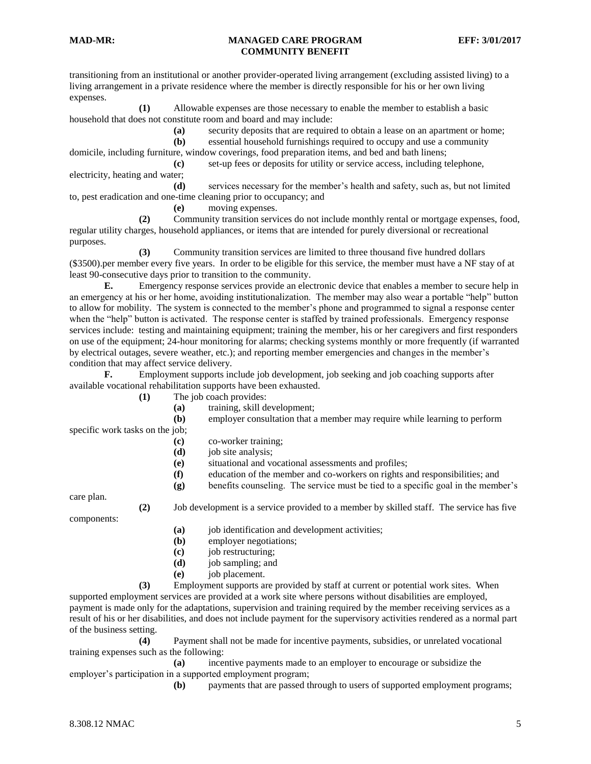transitioning from an institutional or another provider-operated living arrangement (excluding assisted living) to a living arrangement in a private residence where the member is directly responsible for his or her own living expenses.

**(1)** Allowable expenses are those necessary to enable the member to establish a basic household that does not constitute room and board and may include:

**(a)** security deposits that are required to obtain a lease on an apartment or home;

**(b)** essential household furnishings required to occupy and use a community

domicile, including furniture, window coverings, food preparation items, and bed and bath linens;

**(c)** set-up fees or deposits for utility or service access, including telephone, electricity, heating and water;

**(d)** services necessary for the member's health and safety, such as, but not limited to, pest eradication and one-time cleaning prior to occupancy; and

**(e)** moving expenses.

**(2)** Community transition services do not include monthly rental or mortgage expenses, food, regular utility charges, household appliances, or items that are intended for purely diversional or recreational purposes.

**(3)** Community transition services are limited to three thousand five hundred dollars (\$3500).per member every five years. In order to be eligible for this service, the member must have a NF stay of at least 90-consecutive days prior to transition to the community.

**E.** Emergency response services provide an electronic device that enables a member to secure help in an emergency at his or her home, avoiding institutionalization. The member may also wear a portable "help" button to allow for mobility. The system is connected to the member's phone and programmed to signal a response center when the "help" button is activated. The response center is staffed by trained professionals. Emergency response services include: testing and maintaining equipment; training the member, his or her caregivers and first responders on use of the equipment; 24-hour monitoring for alarms; checking systems monthly or more frequently (if warranted by electrical outages, severe weather, etc.); and reporting member emergencies and changes in the member's condition that may affect service delivery.

**F.** Employment supports include job development, job seeking and job coaching supports after available vocational rehabilitation supports have been exhausted.

**(1)** The job coach provides:

**(a)** training, skill development;

**(b)** employer consultation that a member may require while learning to perform

specific work tasks on the job;

- **(c)** co-worker training;
- **(d)** job site analysis;
- **(e)** situational and vocational assessments and profiles;
- **(f)** education of the member and co-workers on rights and responsibilities; and
- **(g)** benefits counseling. The service must be tied to a specific goal in the member's

care plan.

**(2)** Job development is a service provided to a member by skilled staff. The service has five

components:

- **(a)** job identification and development activities;
- **(b)** employer negotiations;
- **(c)** job restructuring;
- **(d)** job sampling; and
- **(e)** job placement.

**(3)** Employment supports are provided by staff at current or potential work sites. When supported employment services are provided at a work site where persons without disabilities are employed, payment is made only for the adaptations, supervision and training required by the member receiving services as a result of his or her disabilities, and does not include payment for the supervisory activities rendered as a normal part of the business setting.

**(4)** Payment shall not be made for incentive payments, subsidies, or unrelated vocational training expenses such as the following:

**(a)** incentive payments made to an employer to encourage or subsidize the employer's participation in a supported employment program;

**(b)** payments that are passed through to users of supported employment programs;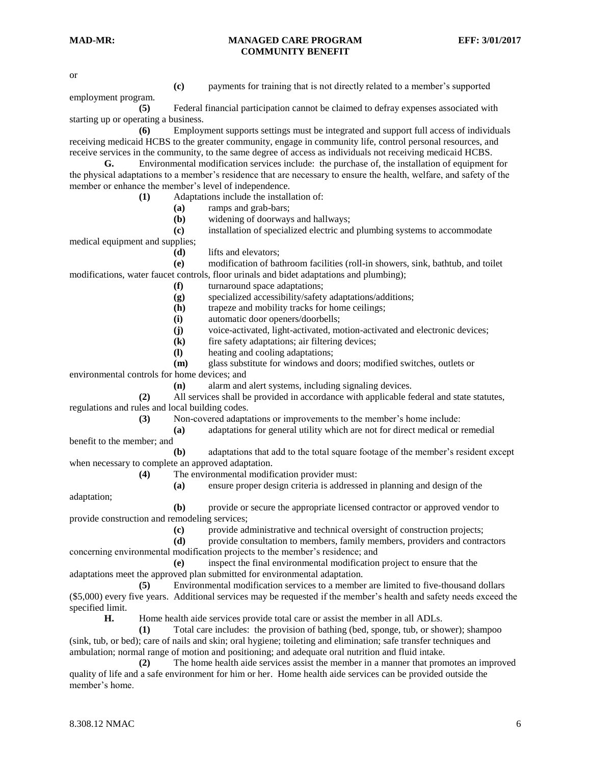or

- 
- **(c)** payments for training that is not directly related to a member's supported

employment program.

**(5)** Federal financial participation cannot be claimed to defray expenses associated with starting up or operating a business.

**(6)** Employment supports settings must be integrated and support full access of individuals receiving medicaid HCBS to the greater community, engage in community life, control personal resources, and receive services in the community, to the same degree of access as individuals not receiving medicaid HCBS.

**G.** Environmental modification services include: the purchase of, the installation of equipment for the physical adaptations to a member's residence that are necessary to ensure the health, welfare, and safety of the member or enhance the member's level of independence.

**(1)** Adaptations include the installation of:

**(a)** ramps and grab-bars;

**(b)** widening of doorways and hallways;

**(c)** installation of specialized electric and plumbing systems to accommodate

medical equipment and supplies;

**(d)** lifts and elevators;

**(e)** modification of bathroom facilities (roll-in showers, sink, bathtub, and toilet modifications, water faucet controls, floor urinals and bidet adaptations and plumbing);

**(f)** turnaround space adaptations;

**(g)** specialized accessibility/safety adaptations/additions;

**(h)** trapeze and mobility tracks for home ceilings;

**(i)** automatic door openers/doorbells;

**(j)** voice-activated, light-activated, motion-activated and electronic devices;

**(k)** fire safety adaptations; air filtering devices;

**(l)** heating and cooling adaptations;

**(m)** glass substitute for windows and doors; modified switches, outlets or environmental controls for home devices; and

**(n)** alarm and alert systems, including signaling devices.

**(2)** All services shall be provided in accordance with applicable federal and state statutes, regulations and rules and local building codes.

**(3)** Non-covered adaptations or improvements to the member's home include:

**(a)** adaptations for general utility which are not for direct medical or remedial benefit to the member; and

**(b)** adaptations that add to the total square footage of the member's resident except when necessary to complete an approved adaptation.

**(4)** The environmental modification provider must:

**(a)** ensure proper design criteria is addressed in planning and design of the

**(b)** provide or secure the appropriate licensed contractor or approved vendor to provide construction and remodeling services;

**(c)** provide administrative and technical oversight of construction projects;

**(d)** provide consultation to members, family members, providers and contractors concerning environmental modification projects to the member's residence; and

**(e)** inspect the final environmental modification project to ensure that the adaptations meet the approved plan submitted for environmental adaptation.

**(5)** Environmental modification services to a member are limited to five-thousand dollars (\$5,000) every five years. Additional services may be requested if the member's health and safety needs exceed the specified limit.

**H.** Home health aide services provide total care or assist the member in all ADLs.

**(1)** Total care includes: the provision of bathing (bed, sponge, tub, or shower); shampoo (sink, tub, or bed); care of nails and skin; oral hygiene; toileting and elimination; safe transfer techniques and ambulation; normal range of motion and positioning; and adequate oral nutrition and fluid intake.

**(2)** The home health aide services assist the member in a manner that promotes an improved quality of life and a safe environment for him or her. Home health aide services can be provided outside the member's home.

adaptation;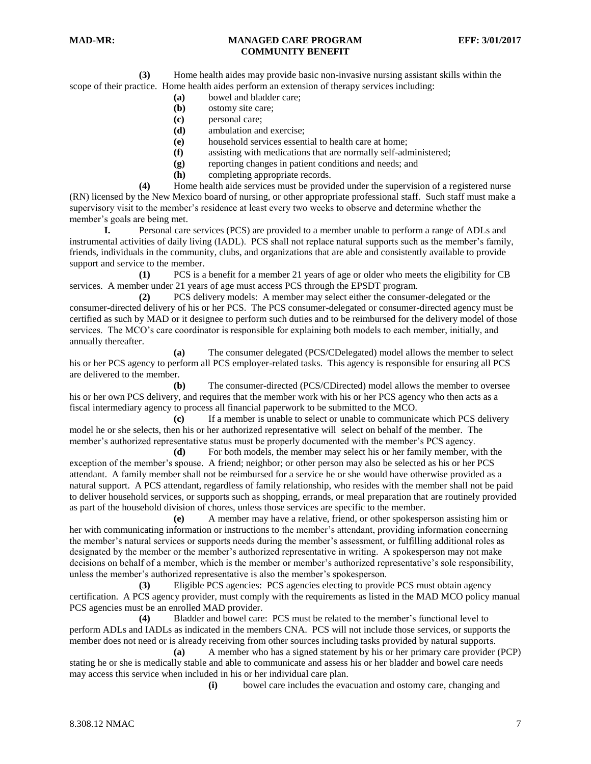**(3)** Home health aides may provide basic non-invasive nursing assistant skills within the scope of their practice. Home health aides perform an extension of therapy services including:

- **(a)** bowel and bladder care;
- **(b)** ostomy site care;
- **(c)** personal care;
- **(d)** ambulation and exercise;
- **(e)** household services essential to health care at home;
- **(f)** assisting with medications that are normally self-administered;
- **(g)** reporting changes in patient conditions and needs; and
- **(h)** completing appropriate records.

**(4)** Home health aide services must be provided under the supervision of a registered nurse (RN) licensed by the New Mexico board of nursing, or other appropriate professional staff. Such staff must make a supervisory visit to the member's residence at least every two weeks to observe and determine whether the member's goals are being met.

**I.** Personal care services (PCS) are provided to a member unable to perform a range of ADLs and instrumental activities of daily living (IADL). PCS shall not replace natural supports such as the member's family, friends, individuals in the community, clubs, and organizations that are able and consistently available to provide support and service to the member.

**(1)** PCS is a benefit for a member 21 years of age or older who meets the eligibility for CB services. A member under 21 years of age must access PCS through the EPSDT program.

**(2)** PCS delivery models: A member may select either the consumer-delegated or the consumer-directed delivery of his or her PCS. The PCS consumer-delegated or consumer-directed agency must be certified as such by MAD or it designee to perform such duties and to be reimbursed for the delivery model of those services. The MCO's care coordinator is responsible for explaining both models to each member, initially, and annually thereafter.

**(a)** The consumer delegated (PCS/CDelegated) model allows the member to select his or her PCS agency to perform all PCS employer-related tasks. This agency is responsible for ensuring all PCS are delivered to the member.

**(b)** The consumer-directed (PCS/CDirected) model allows the member to oversee his or her own PCS delivery, and requires that the member work with his or her PCS agency who then acts as a fiscal intermediary agency to process all financial paperwork to be submitted to the MCO.

**(c)** If a member is unable to select or unable to communicate which PCS delivery model he or she selects, then his or her authorized representative will select on behalf of the member. The member's authorized representative status must be properly documented with the member's PCS agency.

**(d)** For both models, the member may select his or her family member, with the exception of the member's spouse. A friend; neighbor; or other person may also be selected as his or her PCS attendant. A family member shall not be reimbursed for a service he or she would have otherwise provided as a natural support. A PCS attendant, regardless of family relationship, who resides with the member shall not be paid to deliver household services, or supports such as shopping, errands, or meal preparation that are routinely provided as part of the household division of chores, unless those services are specific to the member.

**(e)** A member may have a relative, friend, or other spokesperson assisting him or her with communicating information or instructions to the member's attendant, providing information concerning the member's natural services or supports needs during the member's assessment, or fulfilling additional roles as designated by the member or the member's authorized representative in writing. A spokesperson may not make decisions on behalf of a member, which is the member or member's authorized representative's sole responsibility, unless the member's authorized representative is also the member's spokesperson.

**(3)** Eligible PCS agencies: PCS agencies electing to provide PCS must obtain agency certification. A PCS agency provider, must comply with the requirements as listed in the MAD MCO policy manual PCS agencies must be an enrolled MAD provider.

**(4)** Bladder and bowel care: PCS must be related to the member's functional level to perform ADLs and IADLs as indicated in the members CNA. PCS will not include those services, or supports the member does not need or is already receiving from other sources including tasks provided by natural supports.

**(a)** A member who has a signed statement by his or her primary care provider (PCP) stating he or she is medically stable and able to communicate and assess his or her bladder and bowel care needs may access this service when included in his or her individual care plan.

**(i)** bowel care includes the evacuation and ostomy care, changing and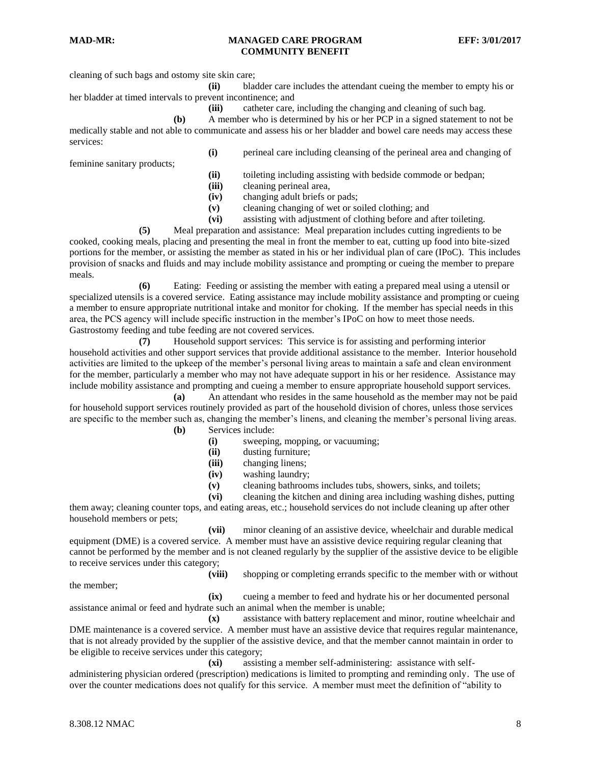cleaning of such bags and ostomy site skin care;

**(ii)** bladder care includes the attendant cueing the member to empty his or her bladder at timed intervals to prevent incontinence; and

**(iii)** catheter care, including the changing and cleaning of such bag.

**(b)** A member who is determined by his or her PCP in a signed statement to not be medically stable and not able to communicate and assess his or her bladder and bowel care needs may access these services:

feminine sanitary products;

**(i)** perineal care including cleansing of the perineal area and changing of

**(ii)** toileting including assisting with bedside commode or bedpan;

**(iii)** cleaning perineal area,

**(iv)** changing adult briefs or pads;

**(v)** cleaning changing of wet or soiled clothing; and

**(vi)** assisting with adjustment of clothing before and after toileting.

**(5)** Meal preparation and assistance: Meal preparation includes cutting ingredients to be cooked, cooking meals, placing and presenting the meal in front the member to eat, cutting up food into bite-sized portions for the member, or assisting the member as stated in his or her individual plan of care (IPoC). This includes provision of snacks and fluids and may include mobility assistance and prompting or cueing the member to prepare meals.

**(6)** Eating: Feeding or assisting the member with eating a prepared meal using a utensil or specialized utensils is a covered service. Eating assistance may include mobility assistance and prompting or cueing a member to ensure appropriate nutritional intake and monitor for choking. If the member has special needs in this area, the PCS agency will include specific instruction in the member's IPoC on how to meet those needs. Gastrostomy feeding and tube feeding are not covered services.

**(7)** Household support services: This service is for assisting and performing interior household activities and other support services that provide additional assistance to the member. Interior household activities are limited to the upkeep of the member's personal living areas to maintain a safe and clean environment for the member, particularly a member who may not have adequate support in his or her residence. Assistance may include mobility assistance and prompting and cueing a member to ensure appropriate household support services.

**(a)** An attendant who resides in the same household as the member may not be paid for household support services routinely provided as part of the household division of chores, unless those services are specific to the member such as, changing the member's linens, and cleaning the member's personal living areas.

**(b)** Services include:

- **(i)** sweeping, mopping, or vacuuming;
	- **(ii)** dusting furniture;
	- **(iii)** changing linens;
	- **(iv)** washing laundry;

**(v)** cleaning bathrooms includes tubs, showers, sinks, and toilets;

**(vi)** cleaning the kitchen and dining area including washing dishes, putting them away; cleaning counter tops, and eating areas, etc.; household services do not include cleaning up after other household members or pets;

**(vii)** minor cleaning of an assistive device, wheelchair and durable medical equipment (DME) is a covered service. A member must have an assistive device requiring regular cleaning that cannot be performed by the member and is not cleaned regularly by the supplier of the assistive device to be eligible to receive services under this category;

the member;

**(viii)** shopping or completing errands specific to the member with or without

**(ix)** cueing a member to feed and hydrate his or her documented personal assistance animal or feed and hydrate such an animal when the member is unable;

**(x)** assistance with battery replacement and minor, routine wheelchair and DME maintenance is a covered service. A member must have an assistive device that requires regular maintenance, that is not already provided by the supplier of the assistive device, and that the member cannot maintain in order to be eligible to receive services under this category;

**(xi)** assisting a member self-administering: assistance with self-

administering physician ordered (prescription) medications is limited to prompting and reminding only. The use of over the counter medications does not qualify for this service. A member must meet the definition of "ability to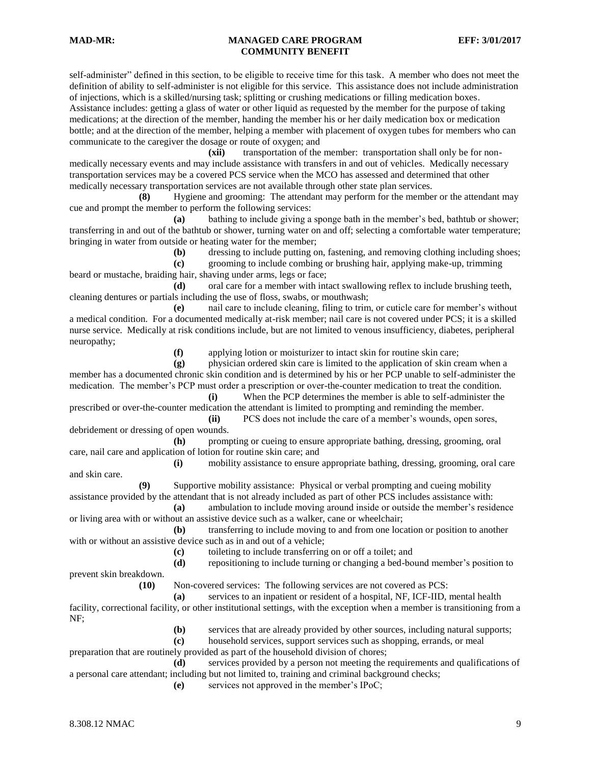self-administer" defined in this section, to be eligible to receive time for this task. A member who does not meet the definition of ability to self-administer is not eligible for this service. This assistance does not include administration of injections, which is a skilled/nursing task; splitting or crushing medications or filling medication boxes. Assistance includes: getting a glass of water or other liquid as requested by the member for the purpose of taking medications; at the direction of the member, handing the member his or her daily medication box or medication bottle; and at the direction of the member, helping a member with placement of oxygen tubes for members who can communicate to the caregiver the dosage or route of oxygen; and

**(xii)** transportation of the member: transportation shall only be for nonmedically necessary events and may include assistance with transfers in and out of vehicles. Medically necessary transportation services may be a covered PCS service when the MCO has assessed and determined that other medically necessary transportation services are not available through other state plan services.

**(8)** Hygiene and grooming: The attendant may perform for the member or the attendant may cue and prompt the member to perform the following services:

**(a)** bathing to include giving a sponge bath in the member's bed, bathtub or shower; transferring in and out of the bathtub or shower, turning water on and off; selecting a comfortable water temperature; bringing in water from outside or heating water for the member;

**(b)** dressing to include putting on, fastening, and removing clothing including shoes;

**(c)** grooming to include combing or brushing hair, applying make-up, trimming beard or mustache, braiding hair, shaving under arms, legs or face;

**(d)** oral care for a member with intact swallowing reflex to include brushing teeth, cleaning dentures or partials including the use of floss, swabs, or mouthwash;

**(e)** nail care to include cleaning, filing to trim, or cuticle care for member's without a medical condition. For a documented medically at-risk member; nail care is not covered under PCS; it is a skilled nurse service. Medically at risk conditions include, but are not limited to venous insufficiency, diabetes, peripheral neuropathy;

**(f)** applying lotion or moisturizer to intact skin for routine skin care;

**(g)** physician ordered skin care is limited to the application of skin cream when a member has a documented chronic skin condition and is determined by his or her PCP unable to self-administer the medication. The member's PCP must order a prescription or over-the-counter medication to treat the condition.

**(i)** When the PCP determines the member is able to self-administer the prescribed or over-the-counter medication the attendant is limited to prompting and reminding the member. **(ii)** PCS does not include the care of a member's wounds, open sores,

debridement or dressing of open wounds.

**(h)** prompting or cueing to ensure appropriate bathing, dressing, grooming, oral care, nail care and application of lotion for routine skin care; and

**(i)** mobility assistance to ensure appropriate bathing, dressing, grooming, oral care and skin care.

**(9)** Supportive mobility assistance: Physical or verbal prompting and cueing mobility assistance provided by the attendant that is not already included as part of other PCS includes assistance with:

**(a)** ambulation to include moving around inside or outside the member's residence or living area with or without an assistive device such as a walker, cane or wheelchair;

**(b)** transferring to include moving to and from one location or position to another with or without an assistive device such as in and out of a vehicle;

**(c)** toileting to include transferring on or off a toilet; and

**(d)** repositioning to include turning or changing a bed-bound member's position to

**(10)** Non-covered services: The following services are not covered as PCS:

**(a)** services to an inpatient or resident of a hospital, NF, ICF-IID, mental health

facility, correctional facility, or other institutional settings, with the exception when a member is transitioning from a NF;

**(b)** services that are already provided by other sources, including natural supports;

**(c)** household services, support services such as shopping, errands, or meal preparation that are routinely provided as part of the household division of chores;

**(d)** services provided by a person not meeting the requirements and qualifications of a personal care attendant; including but not limited to, training and criminal background checks;

**(e)** services not approved in the member's IPoC;

prevent skin breakdown.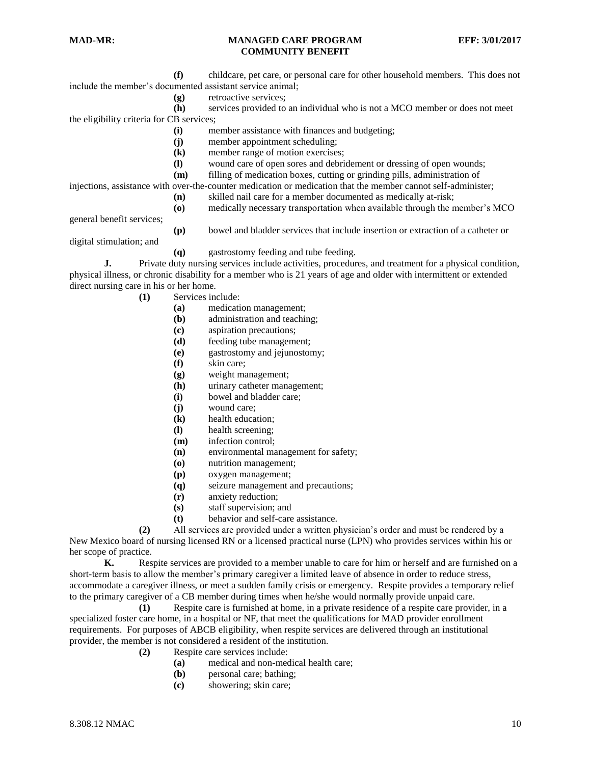**(f)** childcare, pet care, or personal care for other household members. This does not include the member's documented assistant service animal;

**(g)** retroactive services;

**(h)** services provided to an individual who is not a MCO member or does not meet the eligibility criteria for CB services;

- **(i)** member assistance with finances and budgeting;
- **(j)** member appointment scheduling;
- **(k)** member range of motion exercises;
- **(l)** wound care of open sores and debridement or dressing of open wounds;
- **(m)** filling of medication boxes, cutting or grinding pills, administration of

injections, assistance with over-the-counter medication or medication that the member cannot self-administer;

- **(n)** skilled nail care for a member documented as medically at-risk;
- **(o)** medically necessary transportation when available through the member's MCO

general benefit services;

**(p)** bowel and bladder services that include insertion or extraction of a catheter or

digital stimulation; and

**(q)** gastrostomy feeding and tube feeding.

**J.** Private duty nursing services include activities, procedures, and treatment for a physical condition, physical illness, or chronic disability for a member who is 21 years of age and older with intermittent or extended direct nursing care in his or her home.

- **(1)** Services include:
	- **(a)** medication management;
	- **(b)** administration and teaching;
	- **(c)** aspiration precautions;
	- **(d)** feeding tube management;
	- **(e)** gastrostomy and jejunostomy;
	- **(f)** skin care;
	- **(g)** weight management;
	- **(h)** urinary catheter management;
	- **(i)** bowel and bladder care;
	- **(j)** wound care;
	- **(k)** health education;
	- **(l)** health screening;
	- **(m)** infection control;
	- **(n)** environmental management for safety;
	- **(o)** nutrition management;
	- **(p)** oxygen management;
	- **(q)** seizure management and precautions;
	- **(r)** anxiety reduction;
	- **(s)** staff supervision; and
	- **(t)** behavior and self-care assistance.

**(2)** All services are provided under a written physician's order and must be rendered by a New Mexico board of nursing licensed RN or a licensed practical nurse (LPN) who provides services within his or her scope of practice.

**K.** Respite services are provided to a member unable to care for him or herself and are furnished on a short-term basis to allow the member's primary caregiver a limited leave of absence in order to reduce stress, accommodate a caregiver illness, or meet a sudden family crisis or emergency. Respite provides a temporary relief to the primary caregiver of a CB member during times when he/she would normally provide unpaid care.

**(1)** Respite care is furnished at home, in a private residence of a respite care provider, in a specialized foster care home, in a hospital or NF, that meet the qualifications for MAD provider enrollment requirements. For purposes of ABCB eligibility, when respite services are delivered through an institutional provider, the member is not considered a resident of the institution.

- **(2)** Respite care services include:
	- **(a)** medical and non-medical health care;
	- **(b)** personal care; bathing;
	- **(c)** showering; skin care;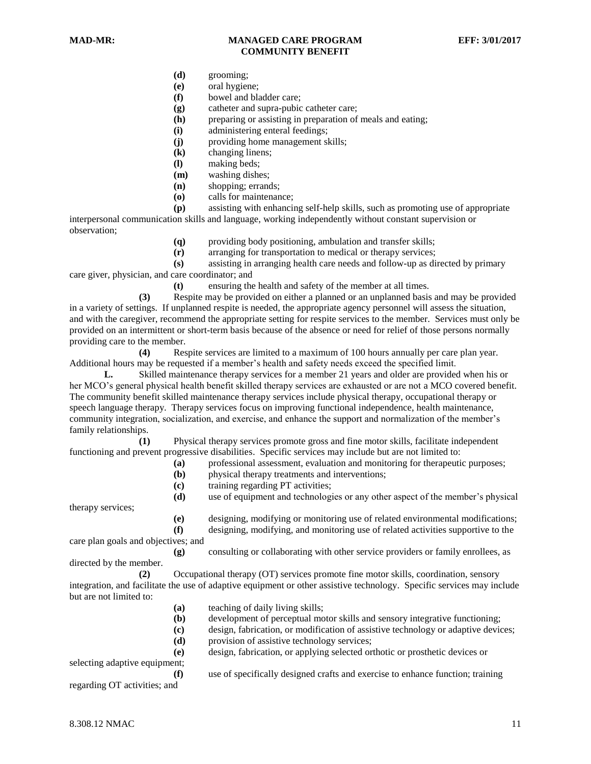- **(d)** grooming;
- **(e)** oral hygiene;
- **(f)** bowel and bladder care;
- **(g)** catheter and supra-pubic catheter care;
- **(h)** preparing or assisting in preparation of meals and eating;
- **(i)** administering enteral feedings;
- **(j)** providing home management skills;
- **(k)** changing linens;
- **(l)** making beds;
- **(m)** washing dishes;
- **(n)** shopping; errands;
- **(o)** calls for maintenance;

**(p)** assisting with enhancing self-help skills, such as promoting use of appropriate interpersonal communication skills and language, working independently without constant supervision or observation;

- **(q)** providing body positioning, ambulation and transfer skills;
- **(r)** arranging for transportation to medical or therapy services;

**(s)** assisting in arranging health care needs and follow-up as directed by primary care giver, physician, and care coordinator; and

**(t)** ensuring the health and safety of the member at all times.

**(3)** Respite may be provided on either a planned or an unplanned basis and may be provided in a variety of settings. If unplanned respite is needed, the appropriate agency personnel will assess the situation, and with the caregiver, recommend the appropriate setting for respite services to the member. Services must only be provided on an intermittent or short-term basis because of the absence or need for relief of those persons normally providing care to the member.

**(4)** Respite services are limited to a maximum of 100 hours annually per care plan year. Additional hours may be requested if a member's health and safety needs exceed the specified limit.

**L.** Skilled maintenance therapy services for a member 21 years and older are provided when his or her MCO's general physical health benefit skilled therapy services are exhausted or are not a MCO covered benefit. The community benefit skilled maintenance therapy services include physical therapy, occupational therapy or speech language therapy. Therapy services focus on improving functional independence, health maintenance, community integration, socialization, and exercise, and enhance the support and normalization of the member's family relationships.

**(1)** Physical therapy services promote gross and fine motor skills, facilitate independent functioning and prevent progressive disabilities. Specific services may include but are not limited to:

- **(a)** professional assessment, evaluation and monitoring for therapeutic purposes;
- **(b)** physical therapy treatments and interventions;
- **(c)** training regarding PT activities;

therapy services;

**(d)** use of equipment and technologies or any other aspect of the member's physical **(e)** designing, modifying or monitoring use of related environmental modifications;

**(f)** designing, modifying, and monitoring use of related activities supportive to the

care plan goals and objectives; and

**(g)** consulting or collaborating with other service providers or family enrollees, as directed by the member.

**(2)** Occupational therapy (OT) services promote fine motor skills, coordination, sensory integration, and facilitate the use of adaptive equipment or other assistive technology. Specific services may include but are not limited to:

- **(a)** teaching of daily living skills;
- **(b)** development of perceptual motor skills and sensory integrative functioning;
- **(c)** design, fabrication, or modification of assistive technology or adaptive devices;
- **(d)** provision of assistive technology services;
- **(e)** design, fabrication, or applying selected orthotic or prosthetic devices or

selecting adaptive equipment;

**(f)** use of specifically designed crafts and exercise to enhance function; training

regarding OT activities; and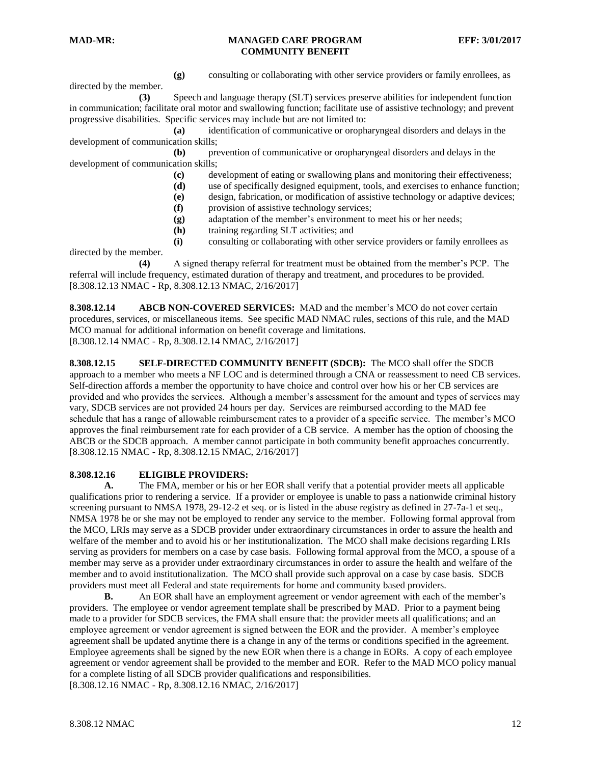directed by the member.

**(g)** consulting or collaborating with other service providers or family enrollees, as

**(3)** Speech and language therapy (SLT) services preserve abilities for independent function in communication; facilitate oral motor and swallowing function; facilitate use of assistive technology; and prevent progressive disabilities. Specific services may include but are not limited to:

**(a)** identification of communicative or oropharyngeal disorders and delays in the development of communication skills;

**(b)** prevention of communicative or oropharyngeal disorders and delays in the development of communication skills;

- **(c)** development of eating or swallowing plans and monitoring their effectiveness;
- **(d)** use of specifically designed equipment, tools, and exercises to enhance function;
- **(e)** design, fabrication, or modification of assistive technology or adaptive devices;
- **(f)** provision of assistive technology services;
- **(g)** adaptation of the member's environment to meet his or her needs;
- **(h)** training regarding SLT activities; and

**(i)** consulting or collaborating with other service providers or family enrollees as

directed by the member.

**(4)** A signed therapy referral for treatment must be obtained from the member's PCP. The referral will include frequency, estimated duration of therapy and treatment, and procedures to be provided. [8.308.12.13 NMAC - Rp, 8.308.12.13 NMAC, 2/16/2017]

<span id="page-11-0"></span>**8.308.12.14 ABCB NON-COVERED SERVICES:** MAD and the member's MCO do not cover certain procedures, services, or miscellaneous items. See specific MAD NMAC rules, sections of this rule, and the MAD MCO manual for additional information on benefit coverage and limitations. [8.308.12.14 NMAC - Rp, 8.308.12.14 NMAC, 2/16/2017]

<span id="page-11-1"></span>**8.308.12.15 SELF-DIRECTED COMMUNITY BENEFIT (SDCB):** The MCO shall offer the SDCB approach to a member who meets a NF LOC and is determined through a CNA or reassessment to need CB services. Self-direction affords a member the opportunity to have choice and control over how his or her CB services are provided and who provides the services. Although a member's assessment for the amount and types of services may vary, SDCB services are not provided 24 hours per day. Services are reimbursed according to the MAD fee schedule that has a range of allowable reimbursement rates to a provider of a specific service. The member's MCO approves the final reimbursement rate for each provider of a CB service. A member has the option of choosing the ABCB or the SDCB approach. A member cannot participate in both community benefit approaches concurrently. [8.308.12.15 NMAC - Rp, 8.308.12.15 NMAC, 2/16/2017]

# <span id="page-11-2"></span>**8.308.12.16 ELIGIBLE PROVIDERS:**

**A.** The FMA, member or his or her EOR shall verify that a potential provider meets all applicable qualifications prior to rendering a service. If a provider or employee is unable to pass a nationwide criminal history screening pursuant to NMSA 1978, 29-12-2 et seq. or is listed in the abuse registry as defined in 27-7a-1 et seq., NMSA 1978 he or she may not be employed to render any service to the member. Following formal approval from the MCO, LRIs may serve as a SDCB provider under extraordinary circumstances in order to assure the health and welfare of the member and to avoid his or her institutionalization. The MCO shall make decisions regarding LRIs serving as providers for members on a case by case basis. Following formal approval from the MCO, a spouse of a member may serve as a provider under extraordinary circumstances in order to assure the health and welfare of the member and to avoid institutionalization. The MCO shall provide such approval on a case by case basis. SDCB providers must meet all Federal and state requirements for home and community based providers.

**B.** An EOR shall have an employment agreement or vendor agreement with each of the member's providers. The employee or vendor agreement template shall be prescribed by MAD. Prior to a payment being made to a provider for SDCB services, the FMA shall ensure that: the provider meets all qualifications; and an employee agreement or vendor agreement is signed between the EOR and the provider. A member's employee agreement shall be updated anytime there is a change in any of the terms or conditions specified in the agreement. Employee agreements shall be signed by the new EOR when there is a change in EORs. A copy of each employee agreement or vendor agreement shall be provided to the member and EOR. Refer to the MAD MCO policy manual for a complete listing of all SDCB provider qualifications and responsibilities. [8.308.12.16 NMAC - Rp, 8.308.12.16 NMAC, 2/16/2017]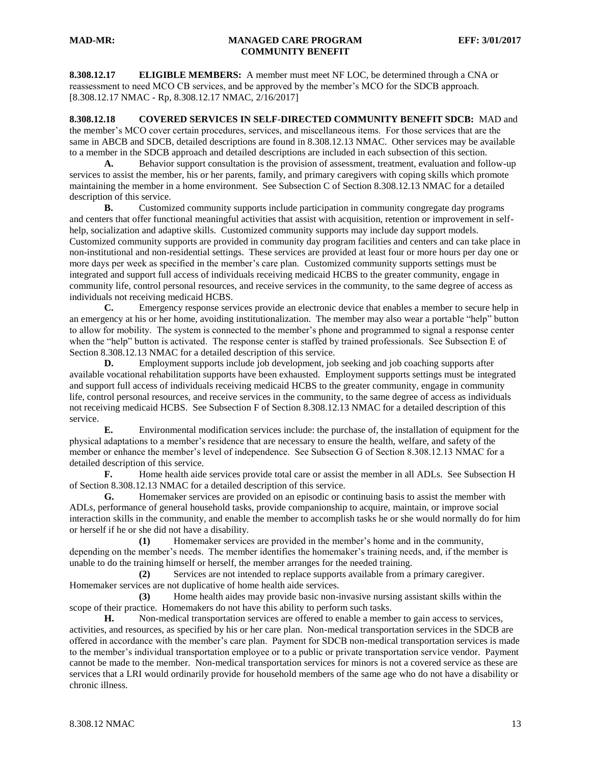<span id="page-12-0"></span>**8.308.12.17 ELIGIBLE MEMBERS:** A member must meet NF LOC, be determined through a CNA or reassessment to need MCO CB services, and be approved by the member's MCO for the SDCB approach. [8.308.12.17 NMAC - Rp, 8.308.12.17 NMAC, 2/16/2017]

<span id="page-12-1"></span>**8.308.12.18 COVERED SERVICES IN SELF-DIRECTED COMMUNITY BENEFIT SDCB:** MAD and the member's MCO cover certain procedures, services, and miscellaneous items. For those services that are the same in ABCB and SDCB, detailed descriptions are found in 8.308.12.13 NMAC. Other services may be available to a member in the SDCB approach and detailed descriptions are included in each subsection of this section.

**A.** Behavior support consultation is the provision of assessment, treatment, evaluation and follow-up services to assist the member, his or her parents, family, and primary caregivers with coping skills which promote maintaining the member in a home environment. See Subsection C of Section 8.308.12.13 NMAC for a detailed description of this service.

**B.** Customized community supports include participation in community congregate day programs and centers that offer functional meaningful activities that assist with acquisition, retention or improvement in selfhelp, socialization and adaptive skills. Customized community supports may include day support models. Customized community supports are provided in community day program facilities and centers and can take place in non-institutional and non-residential settings. These services are provided at least four or more hours per day one or more days per week as specified in the member's care plan. Customized community supports settings must be integrated and support full access of individuals receiving medicaid HCBS to the greater community, engage in community life, control personal resources, and receive services in the community, to the same degree of access as individuals not receiving medicaid HCBS.

**C.** Emergency response services provide an electronic device that enables a member to secure help in an emergency at his or her home, avoiding institutionalization. The member may also wear a portable "help" button to allow for mobility. The system is connected to the member's phone and programmed to signal a response center when the "help" button is activated. The response center is staffed by trained professionals. See Subsection E of Section 8.308.12.13 NMAC for a detailed description of this service.

**D.** Employment supports include job development, job seeking and job coaching supports after available vocational rehabilitation supports have been exhausted. Employment supports settings must be integrated and support full access of individuals receiving medicaid HCBS to the greater community, engage in community life, control personal resources, and receive services in the community, to the same degree of access as individuals not receiving medicaid HCBS. See Subsection F of Section 8.308.12.13 NMAC for a detailed description of this service.

**E.** Environmental modification services include: the purchase of, the installation of equipment for the physical adaptations to a member's residence that are necessary to ensure the health, welfare, and safety of the member or enhance the member's level of independence. See Subsection G of Section 8.308.12.13 NMAC for a detailed description of this service.

**F.** Home health aide services provide total care or assist the member in all ADLs. See Subsection H of Section 8.308.12.13 NMAC for a detailed description of this service.

**G.** Homemaker services are provided on an episodic or continuing basis to assist the member with ADLs, performance of general household tasks, provide companionship to acquire, maintain, or improve social interaction skills in the community, and enable the member to accomplish tasks he or she would normally do for him or herself if he or she did not have a disability.

**(1)** Homemaker services are provided in the member's home and in the community, depending on the member's needs. The member identifies the homemaker's training needs, and, if the member is unable to do the training himself or herself, the member arranges for the needed training.

**(2)** Services are not intended to replace supports available from a primary caregiver. Homemaker services are not duplicative of home health aide services.

**(3)** Home health aides may provide basic non-invasive nursing assistant skills within the scope of their practice. Homemakers do not have this ability to perform such tasks.

**H.** Non-medical transportation services are offered to enable a member to gain access to services, activities, and resources, as specified by his or her care plan. Non-medical transportation services in the SDCB are offered in accordance with the member's care plan. Payment for SDCB non-medical transportation services is made to the member's individual transportation employee or to a public or private transportation service vendor. Payment cannot be made to the member. Non-medical transportation services for minors is not a covered service as these are services that a LRI would ordinarily provide for household members of the same age who do not have a disability or chronic illness.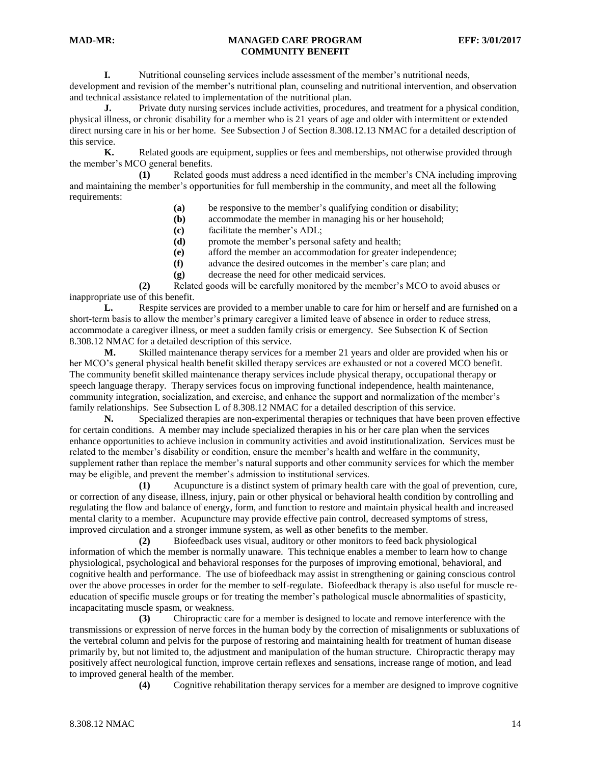**I.** Nutritional counseling services include assessment of the member's nutritional needs, development and revision of the member's nutritional plan, counseling and nutritional intervention, and observation and technical assistance related to implementation of the nutritional plan.

**J.** Private duty nursing services include activities, procedures, and treatment for a physical condition, physical illness, or chronic disability for a member who is 21 years of age and older with intermittent or extended direct nursing care in his or her home. See Subsection J of Section 8.308.12.13 NMAC for a detailed description of this service.

**K.** Related goods are equipment, supplies or fees and memberships, not otherwise provided through the member's MCO general benefits.

**(1)** Related goods must address a need identified in the member's CNA including improving and maintaining the member's opportunities for full membership in the community, and meet all the following requirements:

- **(a)** be responsive to the member's qualifying condition or disability;
- **(b)** accommodate the member in managing his or her household;
- **(c)** facilitate the member's ADL;
- **(d)** promote the member's personal safety and health;
- **(e)** afford the member an accommodation for greater independence;
- **(f)** advance the desired outcomes in the member's care plan; and
- **(g)** decrease the need for other medicaid services.

**(2)** Related goods will be carefully monitored by the member's MCO to avoid abuses or inappropriate use of this benefit.

**L.** Respite services are provided to a member unable to care for him or herself and are furnished on a short-term basis to allow the member's primary caregiver a limited leave of absence in order to reduce stress, accommodate a caregiver illness, or meet a sudden family crisis or emergency. See Subsection K of Section 8.308.12 NMAC for a detailed description of this service.

**M.** Skilled maintenance therapy services for a member 21 years and older are provided when his or her MCO's general physical health benefit skilled therapy services are exhausted or not a covered MCO benefit. The community benefit skilled maintenance therapy services include physical therapy, occupational therapy or speech language therapy. Therapy services focus on improving functional independence, health maintenance, community integration, socialization, and exercise, and enhance the support and normalization of the member's family relationships. See Subsection L of 8.308.12 NMAC for a detailed description of this service.

**N.** Specialized therapies are non-experimental therapies or techniques that have been proven effective for certain conditions. A member may include specialized therapies in his or her care plan when the services enhance opportunities to achieve inclusion in community activities and avoid institutionalization. Services must be related to the member's disability or condition, ensure the member's health and welfare in the community, supplement rather than replace the member's natural supports and other community services for which the member may be eligible, and prevent the member's admission to institutional services.

**(1)** Acupuncture is a distinct system of primary health care with the goal of prevention, cure, or correction of any disease, illness, injury, pain or other physical or behavioral health condition by controlling and regulating the flow and balance of energy, form, and function to restore and maintain physical health and increased mental clarity to a member. Acupuncture may provide effective pain control, decreased symptoms of stress, improved circulation and a stronger immune system, as well as other benefits to the member.

**(2)** Biofeedback uses visual, auditory or other monitors to feed back physiological information of which the member is normally unaware. This technique enables a member to learn how to change physiological, psychological and behavioral responses for the purposes of improving emotional, behavioral, and cognitive health and performance. The use of biofeedback may assist in strengthening or gaining conscious control over the above processes in order for the member to self-regulate. Biofeedback therapy is also useful for muscle reeducation of specific muscle groups or for treating the member's pathological muscle abnormalities of spasticity, incapacitating muscle spasm, or weakness.

**(3)** Chiropractic care for a member is designed to locate and remove interference with the transmissions or expression of nerve forces in the human body by the correction of misalignments or subluxations of the vertebral column and pelvis for the purpose of restoring and maintaining health for treatment of human disease primarily by, but not limited to, the adjustment and manipulation of the human structure. Chiropractic therapy may positively affect neurological function, improve certain reflexes and sensations, increase range of motion, and lead to improved general health of the member.

**(4)** Cognitive rehabilitation therapy services for a member are designed to improve cognitive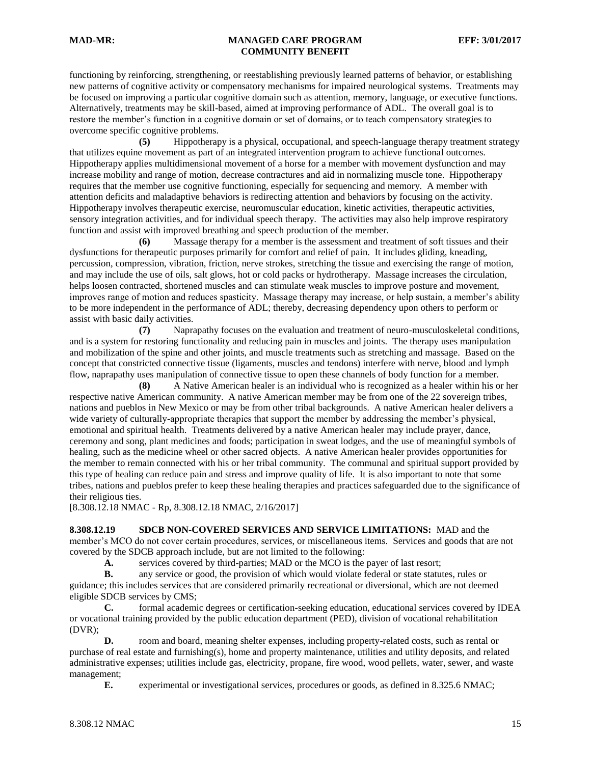functioning by reinforcing, strengthening, or reestablishing previously learned patterns of behavior, or establishing new patterns of cognitive activity or compensatory mechanisms for impaired neurological systems. Treatments may be focused on improving a particular cognitive domain such as attention, memory, language, or executive functions. Alternatively, treatments may be skill-based, aimed at improving performance of ADL. The overall goal is to restore the member's function in a cognitive domain or set of domains, or to teach compensatory strategies to overcome specific cognitive problems.

**(5)** Hippotherapy is a physical, occupational, and speech-language therapy treatment strategy that utilizes equine movement as part of an integrated intervention program to achieve functional outcomes. Hippotherapy applies multidimensional movement of a horse for a member with movement dysfunction and may increase mobility and range of motion, decrease contractures and aid in normalizing muscle tone. Hippotherapy requires that the member use cognitive functioning, especially for sequencing and memory. A member with attention deficits and maladaptive behaviors is redirecting attention and behaviors by focusing on the activity. Hippotherapy involves therapeutic exercise, neuromuscular education, kinetic activities, therapeutic activities, sensory integration activities, and for individual speech therapy. The activities may also help improve respiratory function and assist with improved breathing and speech production of the member.

**(6)** Massage therapy for a member is the assessment and treatment of soft tissues and their dysfunctions for therapeutic purposes primarily for comfort and relief of pain. It includes gliding, kneading, percussion, compression, vibration, friction, nerve strokes, stretching the tissue and exercising the range of motion, and may include the use of oils, salt glows, hot or cold packs or hydrotherapy. Massage increases the circulation, helps loosen contracted, shortened muscles and can stimulate weak muscles to improve posture and movement, improves range of motion and reduces spasticity. Massage therapy may increase, or help sustain, a member's ability to be more independent in the performance of ADL; thereby, decreasing dependency upon others to perform or assist with basic daily activities.

**(7)** Naprapathy focuses on the evaluation and treatment of neuro-musculoskeletal conditions, and is a system for restoring functionality and reducing pain in muscles and joints. The therapy uses manipulation and mobilization of the spine and other joints, and muscle treatments such as stretching and massage. Based on the concept that constricted connective tissue (ligaments, muscles and tendons) interfere with nerve, blood and lymph flow, naprapathy uses manipulation of connective tissue to open these channels of body function for a member.

**(8)** A Native American healer is an individual who is recognized as a healer within his or her respective native American community. A native American member may be from one of the 22 sovereign tribes, nations and pueblos in New Mexico or may be from other tribal backgrounds. A native American healer delivers a wide variety of culturally-appropriate therapies that support the member by addressing the member's physical, emotional and spiritual health. Treatments delivered by a native American healer may include prayer, dance, ceremony and song, plant medicines and foods; participation in sweat lodges, and the use of meaningful symbols of healing, such as the medicine wheel or other sacred objects. A native American healer provides opportunities for the member to remain connected with his or her tribal community. The communal and spiritual support provided by this type of healing can reduce pain and stress and improve quality of life. It is also important to note that some tribes, nations and pueblos prefer to keep these healing therapies and practices safeguarded due to the significance of their religious ties.

[8.308.12.18 NMAC - Rp, 8.308.12.18 NMAC, 2/16/2017]

<span id="page-14-0"></span>**8.308.12.19 SDCB NON-COVERED SERVICES AND SERVICE LIMITATIONS:** MAD and the member's MCO do not cover certain procedures, services, or miscellaneous items. Services and goods that are not covered by the SDCB approach include, but are not limited to the following:

**A.** services covered by third-parties; MAD or the MCO is the payer of last resort;

**B.** any service or good, the provision of which would violate federal or state statutes, rules or guidance; this includes services that are considered primarily recreational or diversional, which are not deemed eligible SDCB services by CMS;

**C.** formal academic degrees or certification-seeking education, educational services covered by IDEA or vocational training provided by the public education department (PED), division of vocational rehabilitation (DVR);

**D.** room and board, meaning shelter expenses, including property-related costs, such as rental or purchase of real estate and furnishing(s), home and property maintenance, utilities and utility deposits, and related administrative expenses; utilities include gas, electricity, propane, fire wood, wood pellets, water, sewer, and waste management;

**E.** experimental or investigational services, procedures or goods, as defined in 8.325.6 NMAC;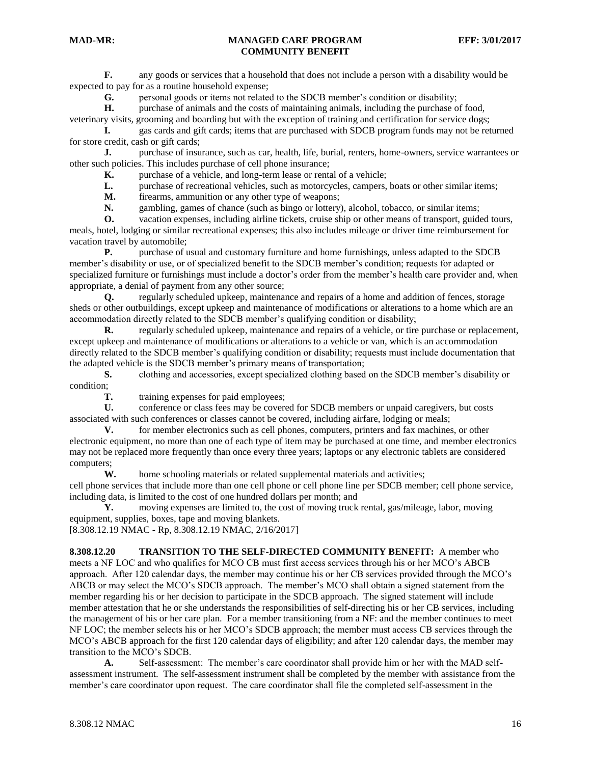**F.** any goods or services that a household that does not include a person with a disability would be expected to pay for as a routine household expense;

**G.** personal goods or items not related to the SDCB member's condition or disability;

**H.** purchase of animals and the costs of maintaining animals, including the purchase of food, veterinary visits, grooming and boarding but with the exception of training and certification for service dogs;

**I.** gas cards and gift cards; items that are purchased with SDCB program funds may not be returned for store credit, cash or gift cards;

**J.** purchase of insurance, such as car, health, life, burial, renters, home-owners, service warrantees or other such policies. This includes purchase of cell phone insurance;

**K.** purchase of a vehicle, and long-term lease or rental of a vehicle;

**L.** purchase of recreational vehicles, such as motorcycles, campers, boats or other similar items;

**M.** firearms, ammunition or any other type of weapons;<br>**N.** gambling, games of chance (such as bingo or lottery)

gambling, games of chance (such as bingo or lottery), alcohol, tobacco, or similar items;

**O.** vacation expenses, including airline tickets, cruise ship or other means of transport, guided tours, meals, hotel, lodging or similar recreational expenses; this also includes mileage or driver time reimbursement for

vacation travel by automobile; **P.** purchase of usual and customary furniture and home furnishings, unless adapted to the SDCB

member's disability or use, or of specialized benefit to the SDCB member's condition; requests for adapted or specialized furniture or furnishings must include a doctor's order from the member's health care provider and, when appropriate, a denial of payment from any other source;

**Q.** regularly scheduled upkeep, maintenance and repairs of a home and addition of fences, storage sheds or other outbuildings, except upkeep and maintenance of modifications or alterations to a home which are an accommodation directly related to the SDCB member's qualifying condition or disability;

**R.** regularly scheduled upkeep, maintenance and repairs of a vehicle, or tire purchase or replacement, except upkeep and maintenance of modifications or alterations to a vehicle or van, which is an accommodation directly related to the SDCB member's qualifying condition or disability; requests must include documentation that the adapted vehicle is the SDCB member's primary means of transportation;

**S.** clothing and accessories, except specialized clothing based on the SDCB member's disability or condition;

**T.** training expenses for paid employees;

**U.** conference or class fees may be covered for SDCB members or unpaid caregivers, but costs associated with such conferences or classes cannot be covered, including airfare, lodging or meals;

**V.** for member electronics such as cell phones, computers, printers and fax machines, or other electronic equipment, no more than one of each type of item may be purchased at one time, and member electronics may not be replaced more frequently than once every three years; laptops or any electronic tablets are considered computers;

**W.** home schooling materials or related supplemental materials and activities;

cell phone services that include more than one cell phone or cell phone line per SDCB member; cell phone service, including data, is limited to the cost of one hundred dollars per month; and

**Y.** moving expenses are limited to, the cost of moving truck rental, gas/mileage, labor, moving equipment, supplies, boxes, tape and moving blankets.

[8.308.12.19 NMAC - Rp, 8.308.12.19 NMAC, 2/16/2017]

<span id="page-15-0"></span>**8.308.12.20 TRANSITION TO THE SELF-DIRECTED COMMUNITY BENEFIT:** A member who meets a NF LOC and who qualifies for MCO CB must first access services through his or her MCO's ABCB approach. After 120 calendar days, the member may continue his or her CB services provided through the MCO's ABCB or may select the MCO's SDCB approach. The member's MCO shall obtain a signed statement from the member regarding his or her decision to participate in the SDCB approach. The signed statement will include member attestation that he or she understands the responsibilities of self-directing his or her CB services, including the management of his or her care plan. For a member transitioning from a NF: and the member continues to meet NF LOC; the member selects his or her MCO's SDCB approach; the member must access CB services through the MCO's ABCB approach for the first 120 calendar days of eligibility; and after 120 calendar days, the member may transition to the MCO's SDCB.

**A.** Self-assessment: The member's care coordinator shall provide him or her with the MAD selfassessment instrument. The self-assessment instrument shall be completed by the member with assistance from the member's care coordinator upon request. The care coordinator shall file the completed self-assessment in the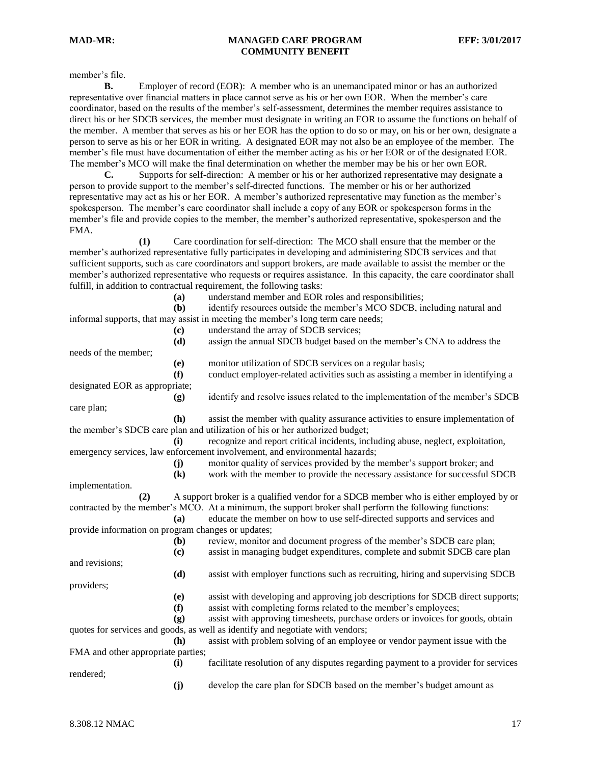member's file.

**B.** Employer of record (EOR): A member who is an unemancipated minor or has an authorized representative over financial matters in place cannot serve as his or her own EOR. When the member's care coordinator, based on the results of the member's self-assessment, determines the member requires assistance to direct his or her SDCB services, the member must designate in writing an EOR to assume the functions on behalf of the member. A member that serves as his or her EOR has the option to do so or may, on his or her own, designate a person to serve as his or her EOR in writing. A designated EOR may not also be an employee of the member. The member's file must have documentation of either the member acting as his or her EOR or of the designated EOR. The member's MCO will make the final determination on whether the member may be his or her own EOR.

**C.** Supports for self-direction: A member or his or her authorized representative may designate a person to provide support to the member's self-directed functions. The member or his or her authorized representative may act as his or her EOR. A member's authorized representative may function as the member's spokesperson. The member's care coordinator shall include a copy of any EOR or spokesperson forms in the member's file and provide copies to the member, the member's authorized representative, spokesperson and the FMA.

**(1)** Care coordination for self-direction: The MCO shall ensure that the member or the member's authorized representative fully participates in developing and administering SDCB services and that sufficient supports, such as care coordinators and support brokers, are made available to assist the member or the member's authorized representative who requests or requires assistance. In this capacity, the care coordinator shall fulfill, in addition to contractual requirement, the following tasks:

**(a)** understand member and EOR roles and responsibilities;

**(b)** identify resources outside the member's MCO SDCB, including natural and informal supports, that may assist in meeting the member's long term care needs;

> **(c)** understand the array of SDCB services; **(d)** assign the annual SDCB budget based on the member's CNA to address the

needs of the member;

**(e)** monitor utilization of SDCB services on a regular basis;

**(f)** conduct employer-related activities such as assisting a member in identifying a

designated EOR as appropriate; **(g)** identify and resolve issues related to the implementation of the member's SDCB

care plan;

**(h)** assist the member with quality assurance activities to ensure implementation of the member's SDCB care plan and utilization of his or her authorized budget;

**(i)** recognize and report critical incidents, including abuse, neglect, exploitation, emergency services, law enforcement involvement, and environmental hazards;

**(j)** monitor quality of services provided by the member's support broker; and

**(k)** work with the member to provide the necessary assistance for successful SDCB

implementation.

**(2)** A support broker is a qualified vendor for a SDCB member who is either employed by or contracted by the member's MCO. At a minimum, the support broker shall perform the following functions: **(a)** educate the member on how to use self-directed supports and services and provide information on program changes or updates; **(b)** review, monitor and document progress of the member's SDCB care plan; **(c)** assist in managing budget expenditures, complete and submit SDCB care plan and revisions; **(d)** assist with employer functions such as recruiting, hiring and supervising SDCB

providers;

**(e)** assist with developing and approving job descriptions for SDCB direct supports;

**(f)** assist with completing forms related to the member's employees;

**(g)** assist with approving timesheets, purchase orders or invoices for goods, obtain quotes for services and goods, as well as identify and negotiate with vendors;

**(h)** assist with problem solving of an employee or vendor payment issue with the FMA and other appropriate parties;

**(i)** facilitate resolution of any disputes regarding payment to a provider for services rendered;

**(j)** develop the care plan for SDCB based on the member's budget amount as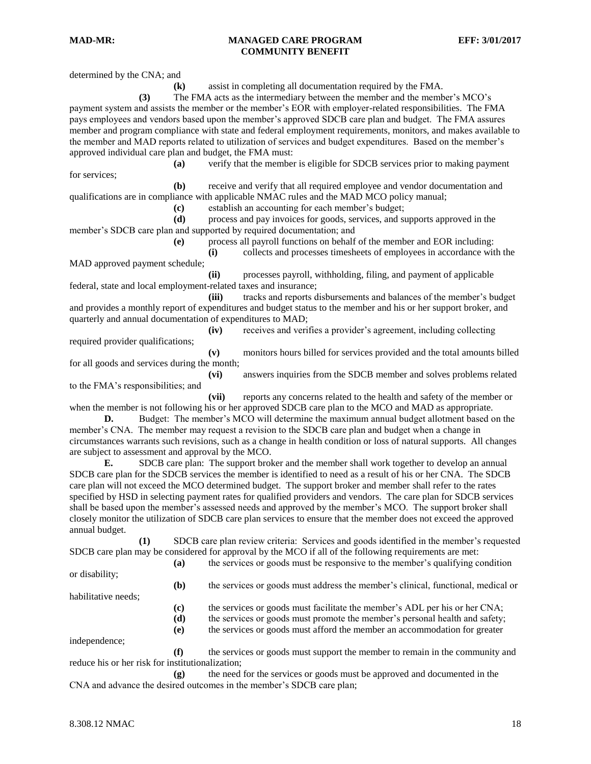determined by the CNA; and

**(k)** assist in completing all documentation required by the FMA. **(3)** The FMA acts as the intermediary between the member and the member's MCO's payment system and assists the member or the member's EOR with employer-related responsibilities. The FMA pays employees and vendors based upon the member's approved SDCB care plan and budget. The FMA assures member and program compliance with state and federal employment requirements, monitors, and makes available to the member and MAD reports related to utilization of services and budget expenditures. Based on the member's approved individual care plan and budget, the FMA must: **(a)** verify that the member is eligible for SDCB services prior to making payment for services; **(b)** receive and verify that all required employee and vendor documentation and qualifications are in compliance with applicable NMAC rules and the MAD MCO policy manual; **(c)** establish an accounting for each member's budget; **(d)** process and pay invoices for goods, services, and supports approved in the member's SDCB care plan and supported by required documentation; and **(e)** process all payroll functions on behalf of the member and EOR including: **(i)** collects and processes timesheets of employees in accordance with the MAD approved payment schedule; **(ii)** processes payroll, withholding, filing, and payment of applicable federal, state and local employment-related taxes and insurance; **(iii)** tracks and reports disbursements and balances of the member's budget and provides a monthly report of expenditures and budget status to the member and his or her support broker, and quarterly and annual documentation of expenditures to MAD; **(iv)** receives and verifies a provider's agreement, including collecting required provider qualifications; **(v)** monitors hours billed for services provided and the total amounts billed for all goods and services during the month; **(vi)** answers inquiries from the SDCB member and solves problems related to the FMA's responsibilities; and **(vii)** reports any concerns related to the health and safety of the member or when the member is not following his or her approved SDCB care plan to the MCO and MAD as appropriate. **D.** Budget: The member's MCO will determine the maximum annual budget allotment based on the member's CNA. The member may request a revision to the SDCB care plan and budget when a change in circumstances warrants such revisions, such as a change in health condition or loss of natural supports. All changes are subject to assessment and approval by the MCO. **E.** SDCB care plan: The support broker and the member shall work together to develop an annual SDCB care plan for the SDCB services the member is identified to need as a result of his or her CNA. The SDCB care plan will not exceed the MCO determined budget. The support broker and member shall refer to the rates specified by HSD in selecting payment rates for qualified providers and vendors. The care plan for SDCB services shall be based upon the member's assessed needs and approved by the member's MCO. The support broker shall closely monitor the utilization of SDCB care plan services to ensure that the member does not exceed the approved annual budget. **(1)** SDCB care plan review criteria: Services and goods identified in the member's requested SDCB care plan may be considered for approval by the MCO if all of the following requirements are met: **(a)** the services or goods must be responsive to the member's qualifying condition or disability; **(b)** the services or goods must address the member's clinical, functional, medical or habilitative needs; **(c)** the services or goods must facilitate the member's ADL per his or her CNA; **(d)** the services or goods must promote the member's personal health and safety; **(e)** the services or goods must afford the member an accommodation for greater independence; **(f)** the services or goods must support the member to remain in the community and reduce his or her risk for institutionalization; **(g)** the need for the services or goods must be approved and documented in the CNA and advance the desired outcomes in the member's SDCB care plan;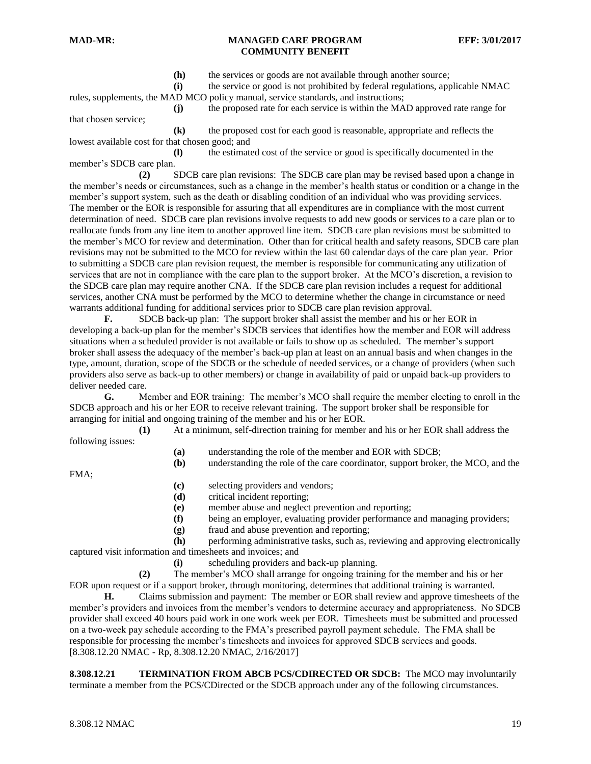**(h)** the services or goods are not available through another source;

**(i)** the service or good is not prohibited by federal regulations, applicable NMAC rules, supplements, the MAD MCO policy manual, service standards, and instructions;

**(j)** the proposed rate for each service is within the MAD approved rate range for that chosen service;

**(k)** the proposed cost for each good is reasonable, appropriate and reflects the lowest available cost for that chosen good; and

**(l)** the estimated cost of the service or good is specifically documented in the member's SDCB care plan.

**(2)** SDCB care plan revisions: The SDCB care plan may be revised based upon a change in the member's needs or circumstances, such as a change in the member's health status or condition or a change in the member's support system, such as the death or disabling condition of an individual who was providing services. The member or the EOR is responsible for assuring that all expenditures are in compliance with the most current determination of need. SDCB care plan revisions involve requests to add new goods or services to a care plan or to reallocate funds from any line item to another approved line item. SDCB care plan revisions must be submitted to the member's MCO for review and determination. Other than for critical health and safety reasons, SDCB care plan revisions may not be submitted to the MCO for review within the last 60 calendar days of the care plan year. Prior to submitting a SDCB care plan revision request, the member is responsible for communicating any utilization of services that are not in compliance with the care plan to the support broker. At the MCO's discretion, a revision to the SDCB care plan may require another CNA. If the SDCB care plan revision includes a request for additional services, another CNA must be performed by the MCO to determine whether the change in circumstance or need warrants additional funding for additional services prior to SDCB care plan revision approval.

**F.** SDCB back-up plan: The support broker shall assist the member and his or her EOR in developing a back-up plan for the member's SDCB services that identifies how the member and EOR will address situations when a scheduled provider is not available or fails to show up as scheduled. The member's support broker shall assess the adequacy of the member's back-up plan at least on an annual basis and when changes in the type, amount, duration, scope of the SDCB or the schedule of needed services, or a change of providers (when such providers also serve as back-up to other members) or change in availability of paid or unpaid back-up providers to deliver needed care.

**G.** Member and EOR training: The member's MCO shall require the member electing to enroll in the SDCB approach and his or her EOR to receive relevant training. The support broker shall be responsible for arranging for initial and ongoing training of the member and his or her EOR.

**(1)** At a minimum, self-direction training for member and his or her EOR shall address the

following issues:

- **(a)** understanding the role of the member and EOR with SDCB;
- **(b)** understanding the role of the care coordinator, support broker, the MCO, and the

FMA;

- **(c)** selecting providers and vendors;
- **(d)** critical incident reporting;
- **(e)** member abuse and neglect prevention and reporting;
- **(f)** being an employer, evaluating provider performance and managing providers;
- **(g)** fraud and abuse prevention and reporting;

**(h)** performing administrative tasks, such as, reviewing and approving electronically captured visit information and timesheets and invoices; and

**(i)** scheduling providers and back-up planning.

**(2)** The member's MCO shall arrange for ongoing training for the member and his or her EOR upon request or if a support broker, through monitoring, determines that additional training is warranted.

**H.** Claims submission and payment: The member or EOR shall review and approve timesheets of the member's providers and invoices from the member's vendors to determine accuracy and appropriateness. No SDCB provider shall exceed 40 hours paid work in one work week per EOR. Timesheets must be submitted and processed on a two-week pay schedule according to the FMA's prescribed payroll payment schedule. The FMA shall be responsible for processing the member's timesheets and invoices for approved SDCB services and goods. [8.308.12.20 NMAC - Rp, 8.308.12.20 NMAC, 2/16/2017]

<span id="page-18-0"></span>**8.308.12.21 TERMINATION FROM ABCB PCS/CDIRECTED OR SDCB:** The MCO may involuntarily terminate a member from the PCS/CDirected or the SDCB approach under any of the following circumstances.